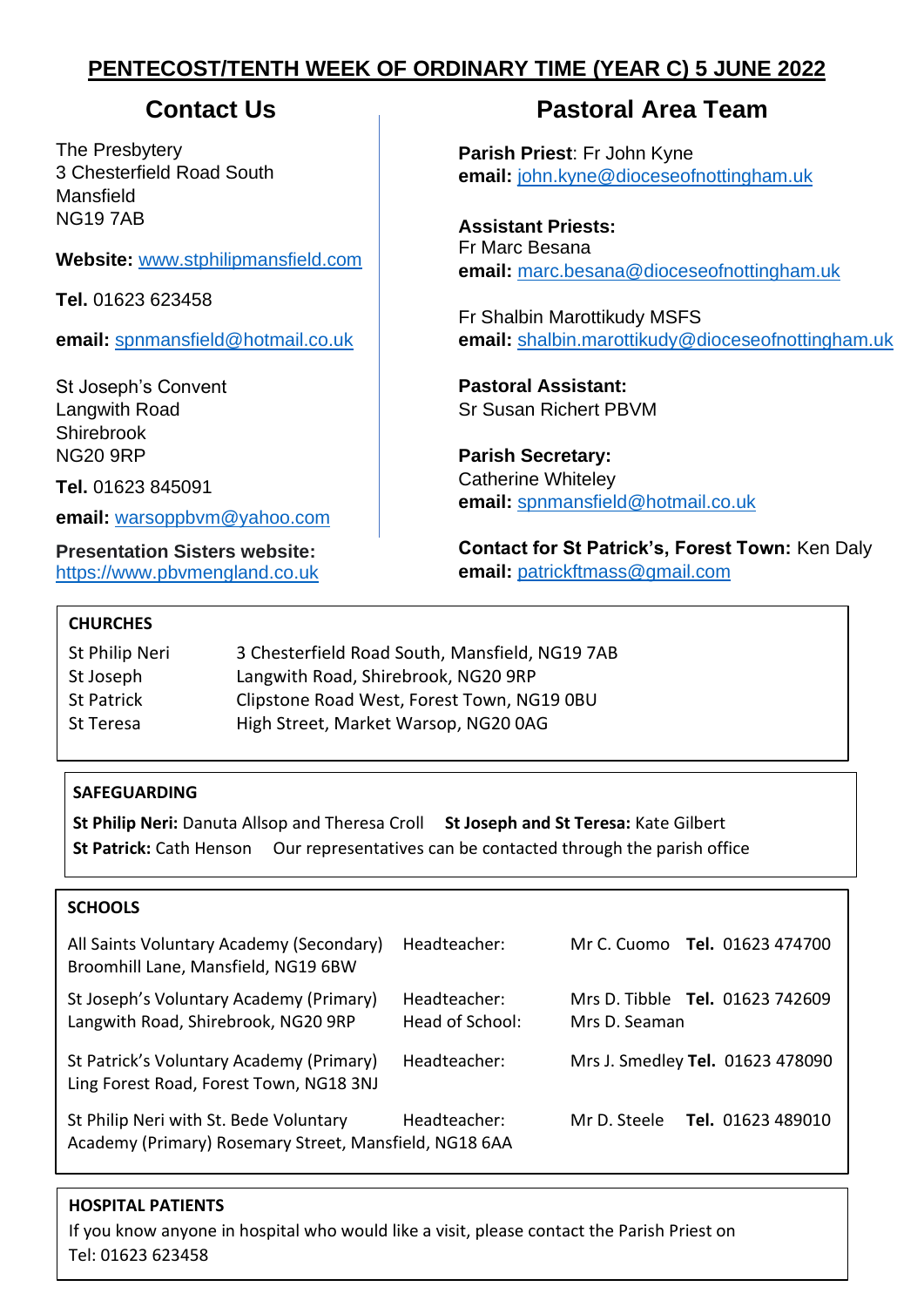# **PENTECOST/TENTH WEEK OF ORDINARY TIME (YEAR C) 5 JUNE 2022**

The Presbytery 3 Chesterfield Road South Mansfield NG19 7AB

**Website:** [www.stphilipmansfield.com](http://www.stphilipmansfield.com/)

**Tel.** 01623 623458

**email:** [spnmansfield@hotmail.co.uk](mailto:spnmansfield@hotmail.co.uk)

St Joseph's Convent Langwith Road Shirebrook NG20 9RP

**Tel.** 01623 845091

**email:** [warsoppbvm@yahoo.com](mailto:warsoppbvm@yahoo.com)

**Presentation Sisters website:** [https://www.pbvmengland.co.uk](https://www.pbvmengland.co.uk/)

# **Contact Us Contact Us Pastoral Area Team**

**Parish Priest**: Fr John Kyne **email:** [john.kyne@dioceseofnottingham.uk](mailto:john.kyne@dioceseofnottingham.uk)

**Assistant Priests:** Fr Marc Besana **email:** [marc.besana@dioceseofnottingham.uk](mailto:marc.besana@dioceseofnottingham.uk)

Fr Shalbin Marottikudy MSFS **email:** [shalbin.marottikudy@dioceseofnottingham.uk](mailto:shalbin.marottikudy@dioceseofnottingham.uk)

**Pastoral Assistant:** Sr Susan Richert PBVM

**Parish Secretary:** Catherine Whiteley **email:** [spnmansfield@hotmail.co.uk](mailto:spnmansfield@hotmail.co.uk)

**Contact for St Patrick's, Forest Town:** Ken Daly **email:** [patrickftmass@gmail.com](mailto:patrickftmass@gmail.com)

# **CHURCHES**

| St Philip Neri | 3 Chesterfield Road South, Mansfield, NG19 7AB |
|----------------|------------------------------------------------|
| St Joseph      | Langwith Road, Shirebrook, NG20 9RP            |
| St Patrick     | Clipstone Road West, Forest Town, NG19 0BU     |
| St Teresa      | High Street, Market Warsop, NG20 0AG           |

# **SAFEGUARDING**

**St Philip Neri:** Danuta Allsop and Theresa Croll **St Joseph and St Teresa:** Kate Gilbert **St Patrick:** Cath Henson Our representatives can be contacted through the parish office

# **SCHOOLS**

| All Saints Voluntary Academy (Secondary)<br>Broomhill Lane, Mansfield, NG19 6BW                  | Headteacher:                    |               | Mr C. Cuomo Tel. 01623 474700    |
|--------------------------------------------------------------------------------------------------|---------------------------------|---------------|----------------------------------|
| St Joseph's Voluntary Academy (Primary)<br>Langwith Road, Shirebrook, NG20 9RP                   | Headteacher:<br>Head of School: | Mrs D. Seaman | Mrs D. Tibble Tel. 01623 742609  |
| St Patrick's Voluntary Academy (Primary)<br>Ling Forest Road, Forest Town, NG18 3NJ              | Headteacher:                    |               | Mrs J. Smedley Tel. 01623 478090 |
| St Philip Neri with St. Bede Voluntary<br>Academy (Primary) Rosemary Street, Mansfield, NG18 6AA | Headteacher:                    | Mr D. Steele  | <b>Tel.</b> 01623 489010         |

# **HOSPITAL PATIENTS**

If you know anyone in hospital who would like a visit, please contact the Parish Priest on Tel: 01623 623458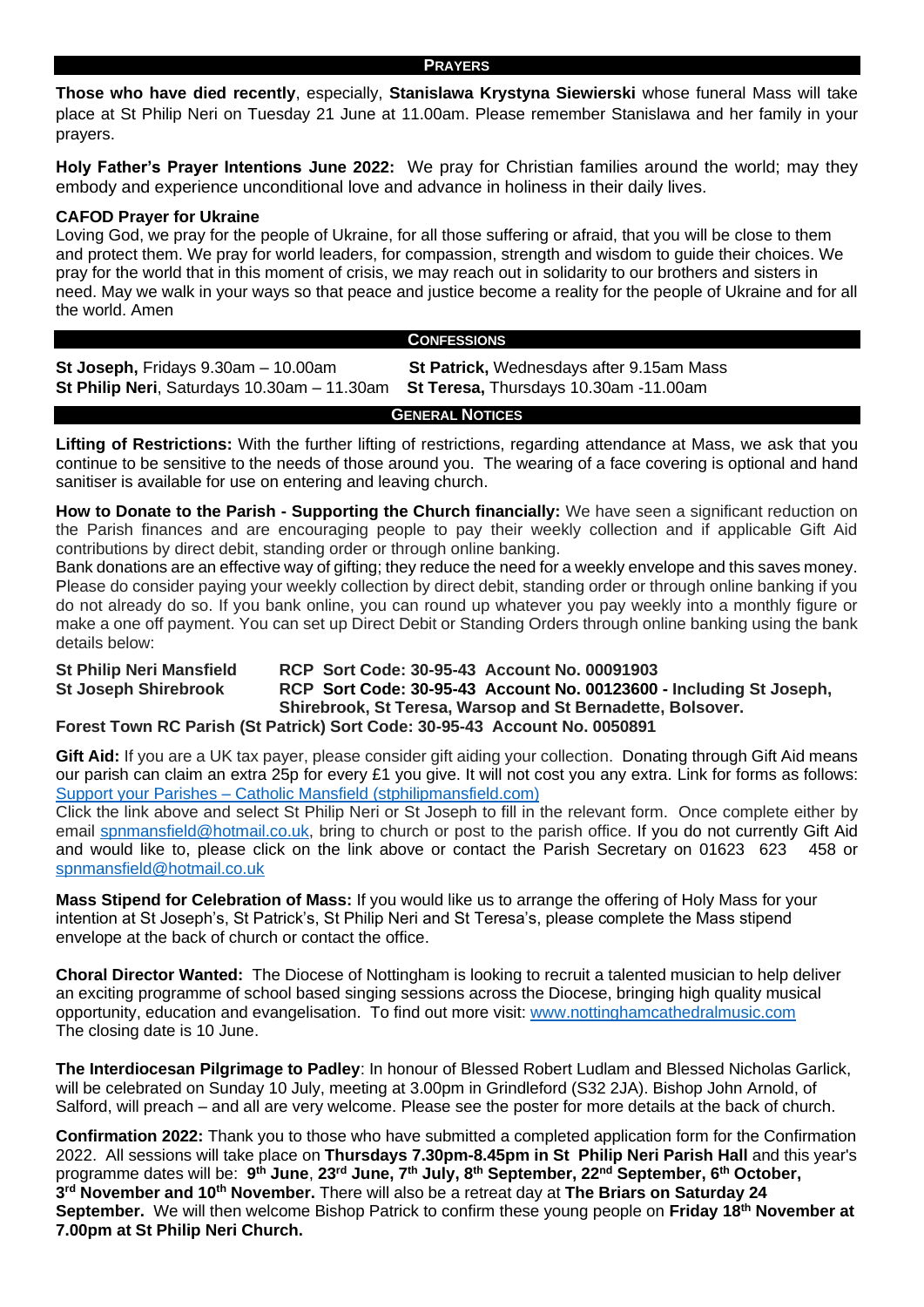#### **PRAYERS**

**Those who have died recently**, especially, **Stanislawa Krystyna Siewierski** whose funeral Mass will take place at St Philip Neri on Tuesday 21 June at 11.00am. Please remember Stanislawa and her family in your prayers.

**Holy Father's Prayer Intentions June 2022:** We pray for Christian families around the world; may they embody and experience unconditional love and advance in holiness in their daily lives.

#### **CAFOD Prayer for Ukraine**

Loving God, we pray for the people of Ukraine, for all those suffering or afraid, that you will be close to them and protect them. We pray for world leaders, for compassion, strength and wisdom to guide their choices. We pray for the world that in this moment of crisis, we may reach out in solidarity to our brothers and sisters in need. May we walk in your ways so that peace and justice become a reality for the people of Ukraine and for all the world. Amen

#### **CONFESSIONS**

**St Joseph,** Fridays 9.30am – 10.00am **St Patrick,** Wednesdays after 9.15am Mass **St Philip Neri**, Saturdays 10.30am – 11.30am **St Teresa,** Thursdays 10.30am -11.00am

**GENERAL NOTICES**

**Lifting of Restrictions:** With the further lifting of restrictions, regarding attendance at Mass, we ask that you continue to be sensitive to the needs of those around you. The wearing of a face covering is optional and hand sanitiser is available for use on entering and leaving church.

**How to Donate to the Parish - Supporting the Church financially:** We have seen a significant reduction on the Parish finances and are encouraging people to pay their weekly collection and if applicable Gift Aid contributions by direct debit, standing order or through online banking.

Bank donations are an effective way of gifting; they reduce the need for a weekly envelope and this saves money. Please do consider paying your weekly collection by direct debit, standing order or through online banking if you do not already do so. If you bank online, you can round up whatever you pay weekly into a monthly figure or make a one off payment. You can set up Direct Debit or Standing Orders through online banking using the bank details below:

**St Philip Neri Mansfield RCP Sort Code: 30-95-43 Account No. 00091903 St Joseph Shirebrook RCP Sort Code: 30-95-43 Account No. 00123600 - Including St Joseph, Shirebrook, St Teresa, Warsop and St Bernadette, Bolsover. Forest Town RC Parish (St Patrick) Sort Code: 30-95-43 Account No. 0050891** 

**Gift Aid:** If you are a UK tax payer, please consider gift aiding your collection. Donating through Gift Aid means our parish can claim an extra 25p for every £1 you give. It will not cost you any extra. Link for forms as follows: Support your Parishes – [Catholic Mansfield \(stphilipmansfield.com\)](http://www.stphilipmansfield.com/support-the-parishes/)

Click the link above and select St Philip Neri or St Joseph to fill in the relevant form. Once complete either by email [spnmansfield@hotmail.co.uk,](mailto:spnmansfield@hotmail.co.uk) bring to church or post to the parish office. If you do not currently Gift Aid and would like to, please click on the link above or contact the Parish Secretary on 01623 623 458 or [spnmansfield@hotmail.co.uk](mailto:spnmansfield@hotmail.co.uk)

**Mass Stipend for Celebration of Mass:** If you would like us to arrange the offering of Holy Mass for your intention at St Joseph's, St Patrick's, St Philip Neri and St Teresa's, please complete the Mass stipend envelope at the back of church or contact the office.

**Choral Director Wanted:** The Diocese of Nottingham is looking to recruit a talented musician to help deliver an exciting programme of school based singing sessions across the Diocese, bringing high quality musical opportunity, education and evangelisation. To find out more visit: [www.nottinghamcathedralmusic.com](http://www.nottinghamcathedralmusic.com/) The closing date is 10 June.

**The Interdiocesan Pilgrimage to Padley**: In honour of Blessed Robert Ludlam and Blessed Nicholas Garlick, will be celebrated on Sunday 10 July, meeting at 3.00pm in Grindleford (S32 2JA). Bishop John Arnold, of Salford, will preach – and all are very welcome. Please see the poster for more details at the back of church.

**Confirmation 2022:** Thank you to those who have submitted a completed application form for the Confirmation 2022. All sessions will take place on **Thursdays 7.30pm-8.45pm in St Philip Neri Parish Hall** and this year's programme dates will be: **9 th June**, **23rd June, 7th July, 8th September, 22nd September, 6 th October, 3 rd November and 10th November.** There will also be a retreat day at **The Briars on Saturday 24 September.** We will then welcome Bishop Patrick to confirm these young people on **Friday 18th November at 7.00pm at St Philip Neri Church.**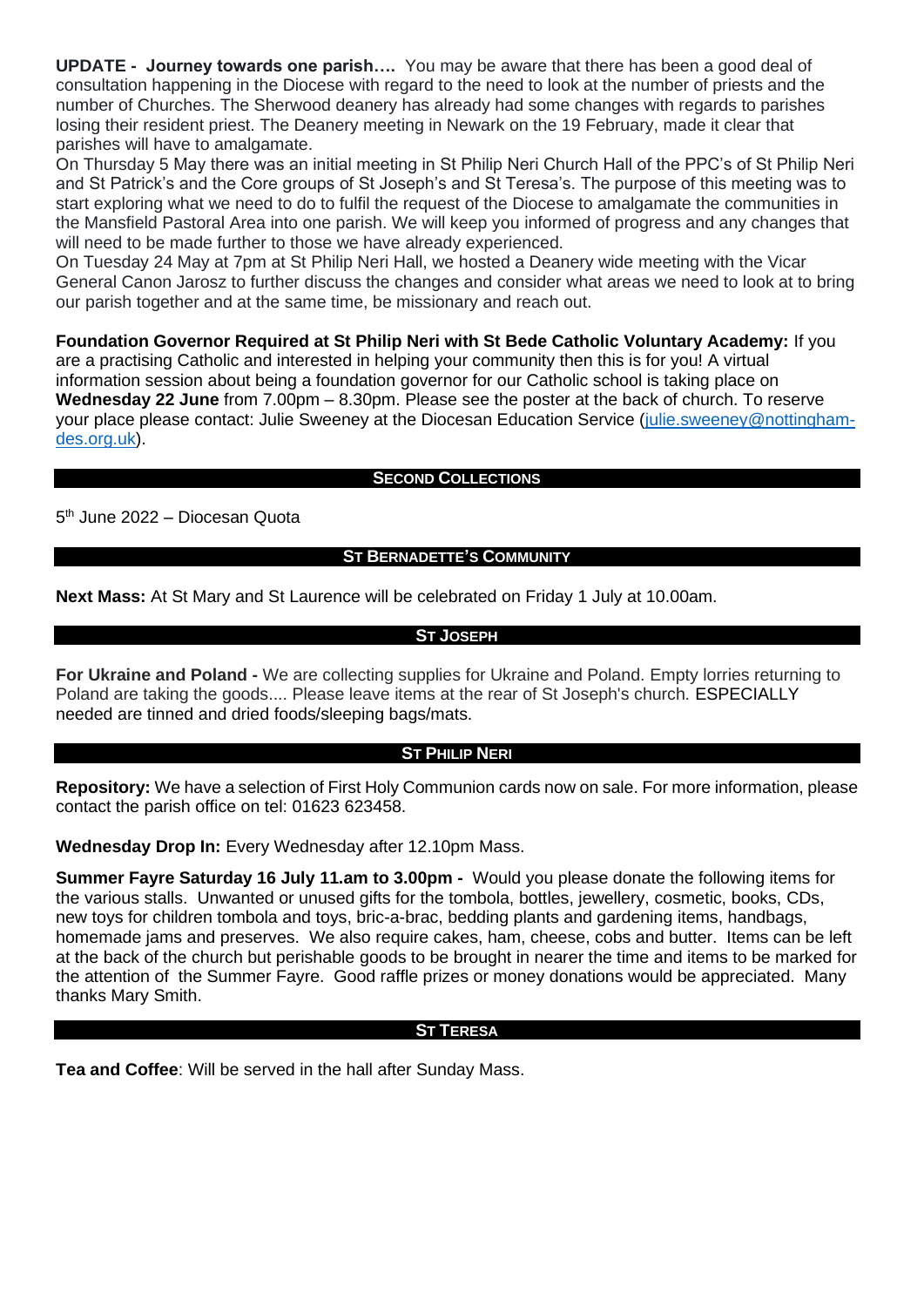**UPDATE - Journey towards one parish….** You may be aware that there has been a good deal of consultation happening in the Diocese with regard to the need to look at the number of priests and the number of Churches. The Sherwood deanery has already had some changes with regards to parishes losing their resident priest. The Deanery meeting in Newark on the 19 February, made it clear that parishes will have to amalgamate.

On Thursday 5 May there was an initial meeting in St Philip Neri Church Hall of the PPC's of St Philip Neri and St Patrick's and the Core groups of St Joseph's and St Teresa's. The purpose of this meeting was to start exploring what we need to do to fulfil the request of the Diocese to amalgamate the communities in the Mansfield Pastoral Area into one parish. We will keep you informed of progress and any changes that will need to be made further to those we have already experienced.

On Tuesday 24 May at 7pm at St Philip Neri Hall, we hosted a Deanery wide meeting with the Vicar General Canon Jarosz to further discuss the changes and consider what areas we need to look at to bring our parish together and at the same time, be missionary and reach out.

**Foundation Governor Required at St Philip Neri with St Bede Catholic Voluntary Academy:** If you are a practising Catholic and interested in helping your community then this is for you! A virtual information session about being a foundation governor for our Catholic school is taking place on **Wednesday 22 June** from 7.00pm – 8.30pm. Please see the poster at the back of church. To reserve your place please contact: Julie Sweeney at the Diocesan Education Service [\(julie.sweeney@nottingham](mailto:julie.sweeney@nottingham-des.org.uk)[des.org.uk\)](mailto:julie.sweeney@nottingham-des.org.uk).

# **SECOND COLLECTIONS**

5<sup>th</sup> June 2022 – Diocesan Quota

## **ST BERNADETTE'S COMMUNITY**

**Next Mass:** At St Mary and St Laurence will be celebrated on Friday 1 July at 10.00am.

## **ST JOSEPH**

**For Ukraine and Poland -** We are collecting supplies for Ukraine and Poland. Empty lorries returning to Poland are taking the goods.... Please leave items at the rear of St Joseph's church. ESPECIALLY needed are tinned and dried foods/sleeping bags/mats.

#### **ST PHILIP NERI**

**Repository:** We have a selection of First Holy Communion cards now on sale. For more information, please contact the parish office on tel: 01623 623458.

**Wednesday Drop In:** Every Wednesday after 12.10pm Mass.

**Summer Fayre Saturday 16 July 11.am to 3.00pm -** Would you please donate the following items for the various stalls. Unwanted or unused gifts for the tombola, bottles, jewellery, cosmetic, books, CDs, new toys for children tombola and toys, bric-a-brac, bedding plants and gardening items, handbags, homemade jams and preserves. We also require cakes, ham, cheese, cobs and butter. Items can be left at the back of the church but perishable goods to be brought in nearer the time and items to be marked for the attention of the Summer Fayre. Good raffle prizes or money donations would be appreciated. Many thanks Mary Smith.

### **ST TERESA**

**Tea and Coffee**: Will be served in the hall after Sunday Mass.